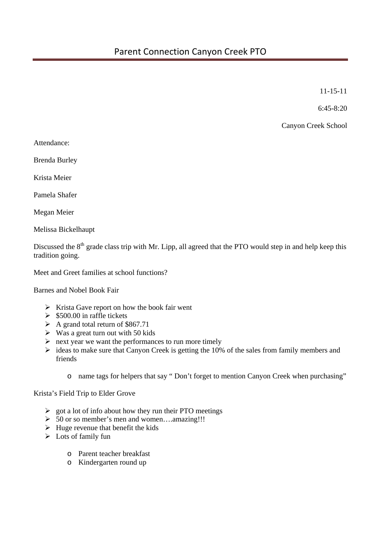11-15-11

6:45-8:20

Canyon Creek School

Attendance:

Brenda Burley

Krista Meier

Pamela Shafer

Megan Meier

Melissa Bickelhaupt

Discussed the  $8<sup>th</sup>$  grade class trip with Mr. Lipp, all agreed that the PTO would step in and help keep this tradition going.

Meet and Greet families at school functions?

Barnes and Nobel Book Fair

- $\triangleright$  Krista Gave report on how the book fair went
- $\geq$  \$500.00 in raffle tickets
- $\triangleright$  A grand total return of \$867.71
- $\triangleright$  Was a great turn out with 50 kids
- $\triangleright$  next year we want the performances to run more timely
- $\triangleright$  ideas to make sure that Canyon Creek is getting the 10% of the sales from family members and friends
	- o name tags for helpers that say " Don't forget to mention Canyon Creek when purchasing"

Krista's Field Trip to Elder Grove

- $\triangleright$  got a lot of info about how they run their PTO meetings
- $\geq 50$  or so member's men and women....amazing!!!
- $\triangleright$  Huge revenue that benefit the kids
- $\triangleright$  Lots of family fun
	- o Parent teacher breakfast
	- o Kindergarten round up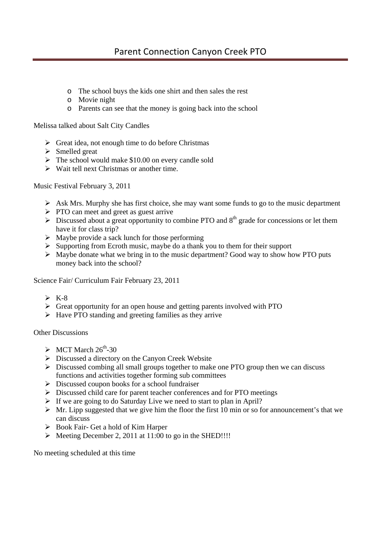## Parent Connection Canyon Creek PTO

- o The school buys the kids one shirt and then sales the rest
- o Movie night
- o Parents can see that the money is going back into the school

Melissa talked about Salt City Candles

- $\triangleright$  Great idea, not enough time to do before Christmas
- $\triangleright$  Smelled great
- $\triangleright$  The school would make \$10.00 on every candle sold
- $\triangleright$  Wait tell next Christmas or another time.

Music Festival February 3, 2011

- $\triangleright$  Ask Mrs. Murphy she has first choice, she may want some funds to go to the music department
- $\triangleright$  PTO can meet and greet as guest arrive
- $\triangleright$  Discussed about a great opportunity to combine PTO and  $8<sup>th</sup>$  grade for concessions or let them have it for class trip?
- $\triangleright$  Maybe provide a sack lunch for those performing
- $\triangleright$  Supporting from Ecroth music, maybe do a thank you to them for their support
- $\triangleright$  Maybe donate what we bring in to the music department? Good way to show how PTO puts money back into the school?

Science Fair/ Curriculum Fair February 23, 2011

- $\triangleright$  K-8
- $\triangleright$  Great opportunity for an open house and getting parents involved with PTO
- $\triangleright$  Have PTO standing and greeting families as they arrive

Other Discussions

- $\triangleright$  MCT March 26<sup>th</sup>-30
- $\triangleright$  Discussed a directory on the Canyon Creek Website
- $\triangleright$  Discussed combing all small groups together to make one PTO group then we can discuss functions and activities together forming sub committees
- $\triangleright$  Discussed coupon books for a school fundraiser
- Discussed child care for parent teacher conferences and for PTO meetings
- $\triangleright$  If we are going to do Saturday Live we need to start to plan in April?
- $\triangleright$  Mr. Lipp suggested that we give him the floor the first 10 min or so for announcement's that we can discuss
- Book Fair- Get a hold of Kim Harper
- $\triangleright$  Meeting December 2, 2011 at 11:00 to go in the SHED!!!!

No meeting scheduled at this time